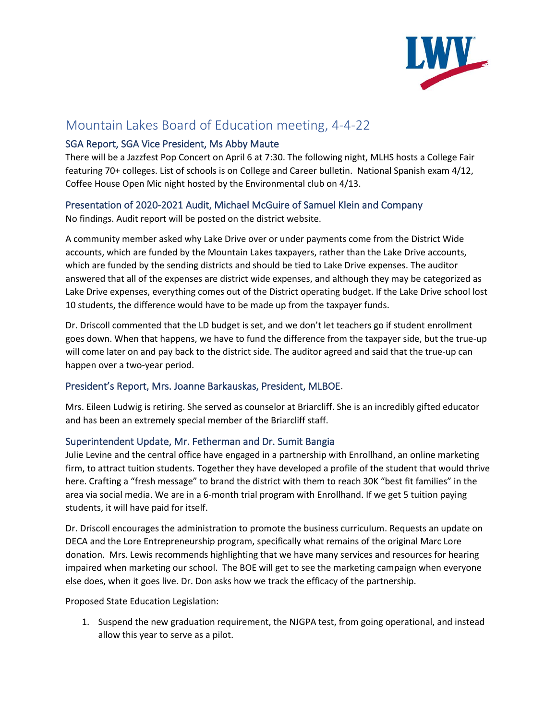

# Mountain Lakes Board of Education meeting, 4-4-22

## SGA Report, SGA Vice President, Ms Abby Maute

There will be a Jazzfest Pop Concert on April 6 at 7:30. The following night, MLHS hosts a College Fair featuring 70+ colleges. List of schools is on College and Career bulletin. National Spanish exam 4/12, Coffee House Open Mic night hosted by the Environmental club on 4/13.

## Presentation of 2020-2021 Audit, Michael McGuire of Samuel Klein and Company

No findings. Audit report will be posted on the district website.

A community member asked why Lake Drive over or under payments come from the District Wide accounts, which are funded by the Mountain Lakes taxpayers, rather than the Lake Drive accounts, which are funded by the sending districts and should be tied to Lake Drive expenses. The auditor answered that all of the expenses are district wide expenses, and although they may be categorized as Lake Drive expenses, everything comes out of the District operating budget. If the Lake Drive school lost 10 students, the difference would have to be made up from the taxpayer funds.

Dr. Driscoll commented that the LD budget is set, and we don't let teachers go if student enrollment goes down. When that happens, we have to fund the difference from the taxpayer side, but the true-up will come later on and pay back to the district side. The auditor agreed and said that the true-up can happen over a two-year period.

# President's Report, Mrs. Joanne Barkauskas, President, MLBOE.

Mrs. Eileen Ludwig is retiring. She served as counselor at Briarcliff. She is an incredibly gifted educator and has been an extremely special member of the Briarcliff staff.

## Superintendent Update, Mr. Fetherman and Dr. Sumit Bangia

Julie Levine and the central office have engaged in a partnership with Enrollhand, an online marketing firm, to attract tuition students. Together they have developed a profile of the student that would thrive here. Crafting a "fresh message" to brand the district with them to reach 30K "best fit families" in the area via social media. We are in a 6-month trial program with Enrollhand. If we get 5 tuition paying students, it will have paid for itself.

Dr. Driscoll encourages the administration to promote the business curriculum. Requests an update on DECA and the Lore Entrepreneurship program, specifically what remains of the original Marc Lore donation. Mrs. Lewis recommends highlighting that we have many services and resources for hearing impaired when marketing our school. The BOE will get to see the marketing campaign when everyone else does, when it goes live. Dr. Don asks how we track the efficacy of the partnership.

Proposed State Education Legislation:

1. Suspend the new graduation requirement, the NJGPA test, from going operational, and instead allow this year to serve as a pilot.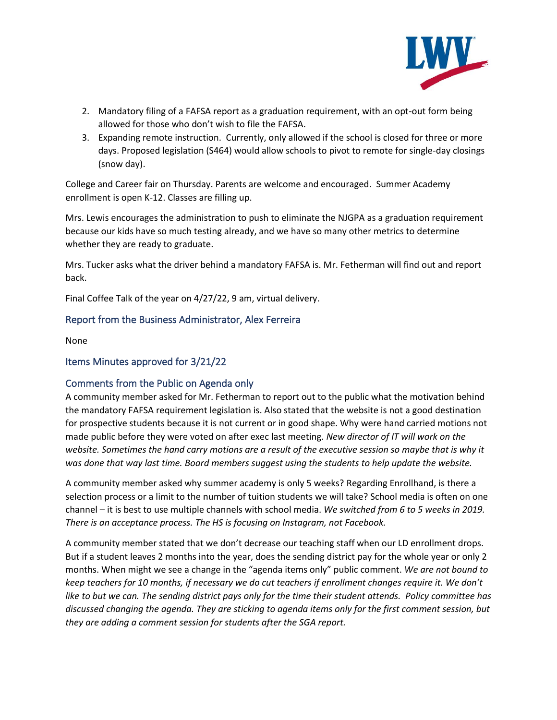

- 2. Mandatory filing of a FAFSA report as a graduation requirement, with an opt-out form being allowed for those who don't wish to file the FAFSA.
- 3. Expanding remote instruction. Currently, only allowed if the school is closed for three or more days. Proposed legislation (S464) would allow schools to pivot to remote for single-day closings (snow day).

College and Career fair on Thursday. Parents are welcome and encouraged. Summer Academy enrollment is open K-12. Classes are filling up.

Mrs. Lewis encourages the administration to push to eliminate the NJGPA as a graduation requirement because our kids have so much testing already, and we have so many other metrics to determine whether they are ready to graduate.

Mrs. Tucker asks what the driver behind a mandatory FAFSA is. Mr. Fetherman will find out and report back.

Final Coffee Talk of the year on 4/27/22, 9 am, virtual delivery.

## Report from the Business Administrator, Alex Ferreira

None

#### Items Minutes approved for 3/21/22

## Comments from the Public on Agenda only

A community member asked for Mr. Fetherman to report out to the public what the motivation behind the mandatory FAFSA requirement legislation is. Also stated that the website is not a good destination for prospective students because it is not current or in good shape. Why were hand carried motions not made public before they were voted on after exec last meeting. *New director of IT will work on the website. Sometimes the hand carry motions are a result of the executive session so maybe that is why it was done that way last time. Board members suggest using the students to help update the website.*

A community member asked why summer academy is only 5 weeks? Regarding Enrollhand, is there a selection process or a limit to the number of tuition students we will take? School media is often on one channel – it is best to use multiple channels with school media. *We switched from 6 to 5 weeks in 2019. There is an acceptance process. The HS is focusing on Instagram, not Facebook.* 

A community member stated that we don't decrease our teaching staff when our LD enrollment drops. But if a student leaves 2 months into the year, does the sending district pay for the whole year or only 2 months. When might we see a change in the "agenda items only" public comment. *We are not bound to keep teachers for 10 months, if necessary we do cut teachers if enrollment changes require it. We don't like to but we can. The sending district pays only for the time their student attends. Policy committee has discussed changing the agenda. They are sticking to agenda items only for the first comment session, but they are adding a comment session for students after the SGA report.*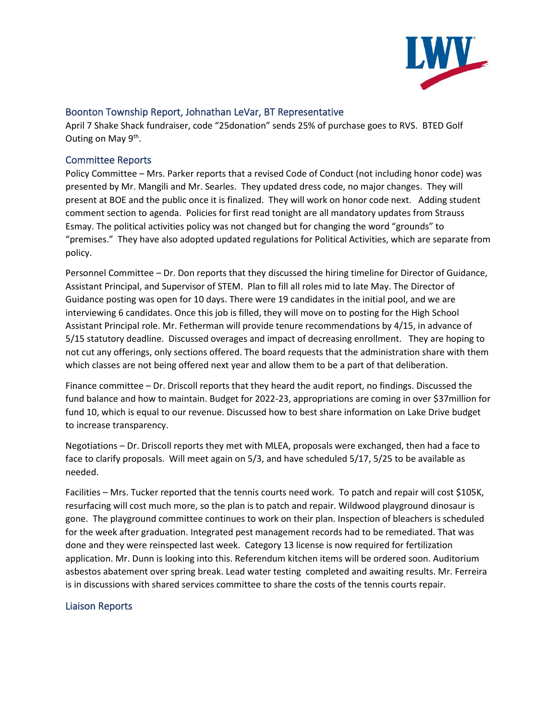

## Boonton Township Report, Johnathan LeVar, BT Representative

April 7 Shake Shack fundraiser, code "25donation" sends 25% of purchase goes to RVS. BTED Golf Outing on May 9<sup>th</sup>.

## Committee Reports

Policy Committee – Mrs. Parker reports that a revised Code of Conduct (not including honor code) was presented by Mr. Mangili and Mr. Searles. They updated dress code, no major changes. They will present at BOE and the public once it is finalized. They will work on honor code next. Adding student comment section to agenda. Policies for first read tonight are all mandatory updates from Strauss Esmay. The political activities policy was not changed but for changing the word "grounds" to "premises." They have also adopted updated regulations for Political Activities, which are separate from policy.

Personnel Committee – Dr. Don reports that they discussed the hiring timeline for Director of Guidance, Assistant Principal, and Supervisor of STEM. Plan to fill all roles mid to late May. The Director of Guidance posting was open for 10 days. There were 19 candidates in the initial pool, and we are interviewing 6 candidates. Once this job is filled, they will move on to posting for the High School Assistant Principal role. Mr. Fetherman will provide tenure recommendations by 4/15, in advance of 5/15 statutory deadline. Discussed overages and impact of decreasing enrollment. They are hoping to not cut any offerings, only sections offered. The board requests that the administration share with them which classes are not being offered next year and allow them to be a part of that deliberation.

Finance committee – Dr. Driscoll reports that they heard the audit report, no findings. Discussed the fund balance and how to maintain. Budget for 2022-23, appropriations are coming in over \$37million for fund 10, which is equal to our revenue. Discussed how to best share information on Lake Drive budget to increase transparency.

Negotiations – Dr. Driscoll reports they met with MLEA, proposals were exchanged, then had a face to face to clarify proposals. Will meet again on 5/3, and have scheduled 5/17, 5/25 to be available as needed.

Facilities – Mrs. Tucker reported that the tennis courts need work. To patch and repair will cost \$105K, resurfacing will cost much more, so the plan is to patch and repair. Wildwood playground dinosaur is gone. The playground committee continues to work on their plan. Inspection of bleachers is scheduled for the week after graduation. Integrated pest management records had to be remediated. That was done and they were reinspected last week. Category 13 license is now required for fertilization application. Mr. Dunn is looking into this. Referendum kitchen items will be ordered soon. Auditorium asbestos abatement over spring break. Lead water testing completed and awaiting results. Mr. Ferreira is in discussions with shared services committee to share the costs of the tennis courts repair.

## Liaison Reports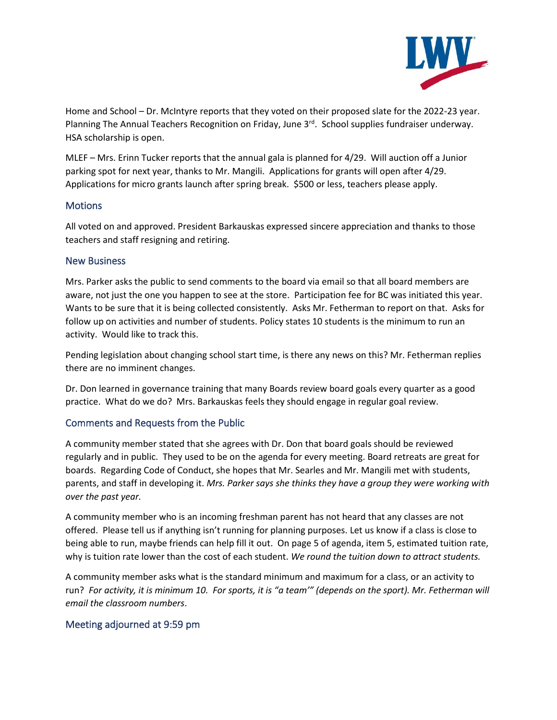

Home and School – Dr. McIntyre reports that they voted on their proposed slate for the 2022-23 year. Planning The Annual Teachers Recognition on Friday, June 3<sup>rd</sup>. School supplies fundraiser underway. HSA scholarship is open.

MLEF – Mrs. Erinn Tucker reports that the annual gala is planned for 4/29. Will auction off a Junior parking spot for next year, thanks to Mr. Mangili. Applications for grants will open after 4/29. Applications for micro grants launch after spring break. \$500 or less, teachers please apply.

## **Motions**

All voted on and approved. President Barkauskas expressed sincere appreciation and thanks to those teachers and staff resigning and retiring.

## New Business

Mrs. Parker asks the public to send comments to the board via email so that all board members are aware, not just the one you happen to see at the store. Participation fee for BC was initiated this year. Wants to be sure that it is being collected consistently. Asks Mr. Fetherman to report on that. Asks for follow up on activities and number of students. Policy states 10 students is the minimum to run an activity. Would like to track this.

Pending legislation about changing school start time, is there any news on this? Mr. Fetherman replies there are no imminent changes.

Dr. Don learned in governance training that many Boards review board goals every quarter as a good practice. What do we do? Mrs. Barkauskas feels they should engage in regular goal review.

# Comments and Requests from the Public

A community member stated that she agrees with Dr. Don that board goals should be reviewed regularly and in public. They used to be on the agenda for every meeting. Board retreats are great for boards. Regarding Code of Conduct, she hopes that Mr. Searles and Mr. Mangili met with students, parents, and staff in developing it. *Mrs. Parker says she thinks they have a group they were working with over the past year.* 

A community member who is an incoming freshman parent has not heard that any classes are not offered. Please tell us if anything isn't running for planning purposes. Let us know if a class is close to being able to run, maybe friends can help fill it out. On page 5 of agenda, item 5, estimated tuition rate, why is tuition rate lower than the cost of each student. *We round the tuition down to attract students.*

A community member asks what is the standard minimum and maximum for a class, or an activity to run? *For activity, it is minimum 10. For sports, it is "a team'" (depends on the sport). Mr. Fetherman will email the classroom numbers*.

# Meeting adjourned at 9:59 pm